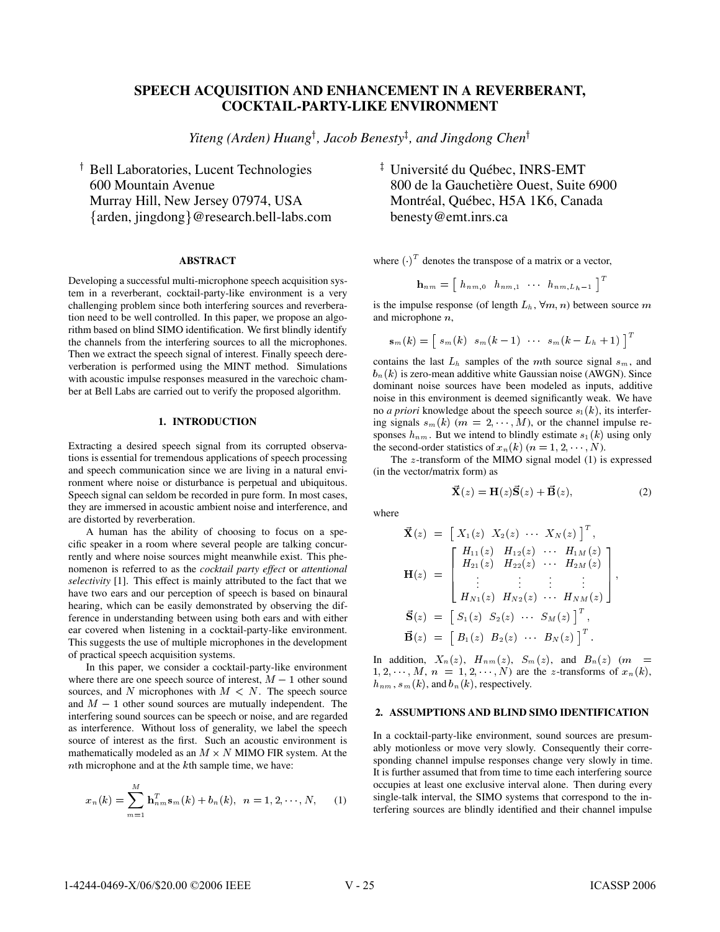# **SPEECH ACQUISITION AND ENHANCEMENT IN A REVERBERANT, COCKTAIL-PARTY-LIKE ENVIRONMENT**

*Yiteng (Arden) Huang*<sup>†</sup>, Jacob Benesty<sup>‡</sup>, and Jingdong Chen<sup>†</sup>

 Bell Laboratories, Lucent Technologies 600 Mountain Avenue Murray Hill, New Jersey 07974, USA arden, jingdong@research.bell-labs.com

#### **ABSTRACT**

Developing a successful multi-microphone speech acquisition system in a reverberant, cocktail-party-like environment is a very challenging problem since both interfering sources and reverberation need to be well controlled. In this paper, we propose an algorithm based on blind SIMO identification. We first blindly identify the channels from the interfering sources to all the microphones. Then we extract the speech signal of interest. Finally speech dereverberation is performed using the MINT method. Simulations with acoustic impulse responses measured in the varechoic chamber at Bell Labs are carried out to verify the proposed algorithm.

## **1. INTRODUCTION**

Extracting a desired speech signal from its corrupted observations is essential for tremendous applications of speech processing and speech communication since we are living in a natural environment where noise or disturbance is perpetual and ubiquitous. Speech signal can seldom be recorded in pure form. In most cases, they are immersed in acoustic ambient noise and interference, and are distorted by reverberation.

A human has the ability of choosing to focus on a specific speaker in a room where several people are talking concurrently and where noise sources might meanwhile exist. This phenomenon is referred to as the *cocktail party effect* or *attentional selectivity* [1]. This effect is mainly attributed to the fact that we have two ears and our perception of speech is based on binaural hearing, which can be easily demonstrated by observing the difference in understanding between using both ears and with either ear covered when listening in a cocktail-party-like environment. This suggests the use of multiple microphones in the development of practical speech acquisition systems.

In this paper, we consider a cocktail-party-like environment where there are one speech source of interest,  $M - 1$  other sound sources, and N microphones with  $M < N$ . The speech source and  $M - 1$  other sound sources are mutually independent. The interfering sound sources can be speech or noise, and are regarded as interference. Without loss of generality, we label the speech source of interest as the first. Such an acoustic environment is mathematically modeled as an  $M \times N$  MIMO FIR system. At the  $n$ th microphone and at the  $k$ th sample time, we have:

$$
x_n(k) = \sum_{m=1}^{M} \mathbf{h}_{nm}^T \mathbf{s}_m(k) + b_n(k), \ \ n = 1, 2, \cdots, N,
$$
 (1)

<sup>‡</sup> Université du Québec, INRS-EMT 800 de la Gauchetière Ouest, Suite 6900 Montréal, Québec, H5A 1K6, Canada benesty@emt.inrs.ca

where  $(\cdot)^T$  denotes the transpose of a matrix or a vector,

$$
\mathbf{h}_{nm} = \left[ \begin{array}{ccc} h_{nm,0} & h_{nm,1} & \cdots & h_{nm,L_h-1} \end{array} \right]^T
$$

is the impulse response (of length  $L<sub>h</sub>$ ,  $\forall m, n$ ) between source m and microphone  $n$ ,

$$
\mathbf{s}_m(k)=\left[\begin{array}{cccc} s_m(k) & s_m(k-1) & \cdots & s_m(k-L_h+1)\end{array}\right]^T
$$

contains the last  $L<sub>h</sub>$  samples of the mth source signal  $s<sub>m</sub>$ , and  $b_n(k)$  is zero-mean additive white Gaussian noise (AWGN). Since dominant noise sources have been modeled as inputs, additive noise in this environment is deemed significantly weak. We have no *a priori* knowledge about the speech source  $s_1(k)$ , its interfering signals  $s_m(k)$   $(m = 2, \dots, M)$ , or the channel impulse responses  $h_{nm}$ . But we intend to blindly estimate  $s_1(k)$  using only the second-order statistics of  $x_n(k)$   $(n = 1, 2, \dots, N)$ .

The  $z$ -transform of the MIMO signal model (1) is expressed (in the vector/matrix form) as

$$
\vec{\mathbf{X}}(z) = \mathbf{H}(z)\vec{\mathbf{S}}(z) + \vec{\mathbf{B}}(z),\tag{2}
$$

where

$$
\vec{\mathbf{X}}(z) = \begin{bmatrix} X_1(z) & X_2(z) & \cdots & X_N(z) \end{bmatrix}^T,
$$
  
\n
$$
\mathbf{H}(z) = \begin{bmatrix} H_{11}(z) & H_{12}(z) & \cdots & H_{1M}(z) \\ H_{21}(z) & H_{22}(z) & \cdots & H_{2M}(z) \\ \vdots & \vdots & \vdots & \vdots \\ H_{N1}(z) & H_{N2}(z) & \cdots & H_{NM}(z) \end{bmatrix},
$$
  
\n
$$
\vec{\mathbf{S}}(z) = \begin{bmatrix} S_1(z) & S_2(z) & \cdots & S_M(z) \end{bmatrix}^T,
$$
  
\n
$$
\vec{\mathbf{B}}(z) = \begin{bmatrix} B_1(z) & B_2(z) & \cdots & B_N(z) \end{bmatrix}^T.
$$

In addition,  $X_n(z)$ ,  $H_{nm}(z)$ ,  $S_m(z)$ , and  $B_n(z)$  (m =  $1, 2, \dots, M, n = 1, 2, \dots, N$  are the *z*-transforms of  $x_n(k)$ ,  $h_{nm}$ ,  $s_m(k)$ , and  $b_n(k)$ , respectively.

#### **2. ASSUMPTIONS AND BLIND SIMO IDENTIFICATION**

In a cocktail-party-like environment, sound sources are presumably motionless or move very slowly. Consequently their corresponding channel impulse responses change very slowly in time. It is further assumed that from time to time each interfering source occupies at least one exclusive interval alone. Then during every single-talk interval, the SIMO systems that correspond to the interfering sources are blindly identified and their channel impulse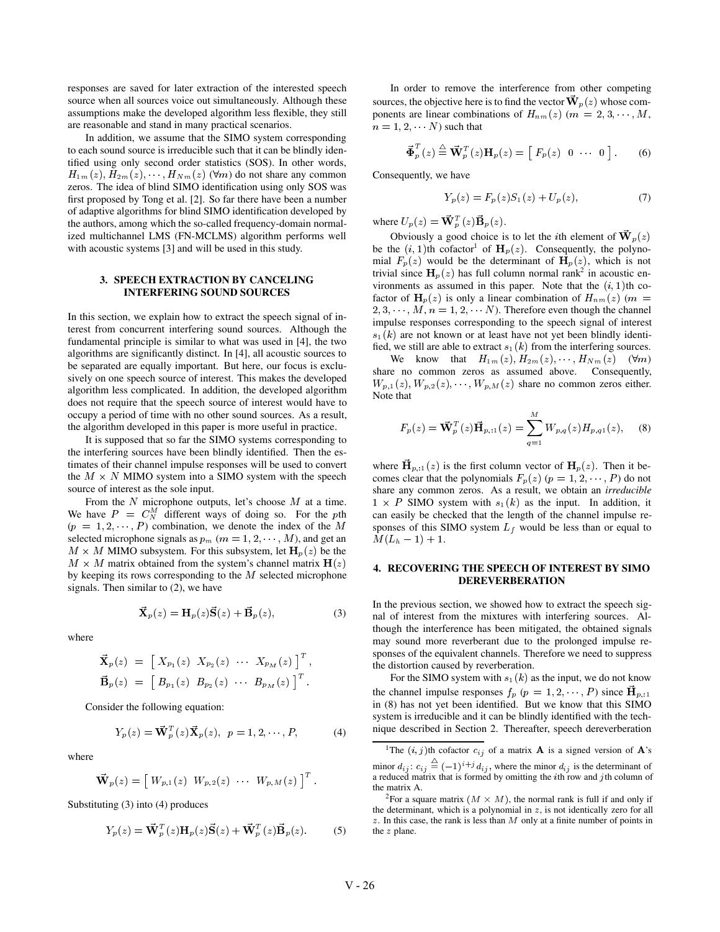responses are saved for later extraction of the interested speech source when all sources voice out simultaneously. Although these assumptions make the developed algorithm less flexible, they still are reasonable and stand in many practical scenarios.

In addition, we assume that the SIMO system corresponding to each sound source is irreducible such that it can be blindly identified using only second order statistics (SOS). In other words,  $H_{1m}(z), H_{2m}(z), \cdots, H_{Nm}(z)$  ( $\forall m$ ) do not share any common zeros. The idea of blind SIMO identification using only SOS was first proposed by Tong et al. [2]. So far there have been a number of adaptive algorithms for blind SIMO identification developed by the authors, among which the so-called frequency-domain normalized multichannel LMS (FN-MCLMS) algorithm performs well with acoustic systems [3] and will be used in this study.

## **3. SPEECH EXTRACTION BY CANCELING INTERFERING SOUND SOURCES**

In this section, we explain how to extract the speech signal of interest from concurrent interfering sound sources. Although the fundamental principle is similar to what was used in [4], the two algorithms are significantly distinct. In [4], all acoustic sources to be separated are equally important. But here, our focus is exclusively on one speech source of interest. This makes the developed algorithm less complicated. In addition, the developed algorithm does not require that the speech source of interest would have to occupy a period of time with no other sound sources. As a result, the algorithm developed in this paper is more useful in practice.

It is supposed that so far the SIMO systems corresponding to the interfering sources have been blindly identified. Then the estimates of their channel impulse responses will be used to convert the  $M \times N$  MIMO system into a SIMO system with the speech source of interest as the sole input.

From the  $N$  microphone outputs, let's choose  $M$  at a time. We have  $P = C_N^M$  different ways of doing so. For the pth  $(p = 1, 2, \dots, P)$  combination, we denote the index of the M sponses of selected microphone signals as  $p_m$  ( $m = 1, 2, \dots, M$ ), and get an  $M \times M$  MIMO subsystem. For this subsystem, let  $\mathbf{H}_p(z)$  be the  $M \times M$  matrix obtained from the system's channel matrix  $H(z)$ by keeping its rows corresponding to the  $M$  selected microphone signals. Then similar to (2), we have

$$
\vec{\mathbf{X}}_p(z) = \mathbf{H}_p(z)\vec{\mathbf{S}}(z) + \vec{\mathbf{B}}_p(z),
$$
 (3)

where

$$
\vec{\mathbf{X}}_p(z) = \left[ \begin{array}{ccc} X_{p_1}(z) & X_{p_2}(z) & \cdots & X_{p_M}(z) \end{array} \right]^T, \n\vec{\mathbf{B}}_p(z) = \left[ \begin{array}{ccc} B_{p_1}(z) & B_{p_2}(z) & \cdots & B_{p_M}(z) \end{array} \right]^T.
$$

Consider the following equation:

$$
Y_p(z) = \vec{\mathbf{W}}_p^T(z)\vec{\mathbf{X}}_p(z), \ \ p = 1, 2, \cdots, P,
$$
 (4)

where

$$
\mathbf{\vec{W}}_p(z) = \begin{bmatrix} W_{p,1}(z) & W_{p,2}(z) & \cdots & W_{p,M}(z) \end{bmatrix}^T.
$$

Substituting (3) into (4) produces

$$
Y_p(z) = \vec{\mathbf{W}}_p^T(z) \mathbf{H}_p(z) \vec{\mathbf{S}}(z) + \vec{\mathbf{W}}_p^T(z) \vec{\mathbf{B}}_p(z).
$$
 (5)

In order to remove the interference from other competing sources, the objective here is to find the vector  $\mathbf{W}_p(z)$  whose components are linear combinations of  $H_{nm}(z)$   $(m = 2, 3, \dots, M,$  $n = 1, 2, \cdots N$  such that

$$
\vec{\Phi}_p^T(z) \stackrel{\triangle}{=} \vec{\mathbf{W}}_p^T(z) \mathbf{H}_p(z) = \begin{bmatrix} F_p(z) & 0 & \cdots & 0 \end{bmatrix} . \tag{6}
$$

Consequently, we have

$$
Y_p(z) = F_p(z)S_1(z) + U_p(z), \tag{7}
$$

where  $U_p(z) = \mathbf{W}_p^T(z) \mathbf{B}_p(z)$ .

Obviously a good choice is to let the *i*th element of  $W_p(z)$ be the  $(i, 1)$ th cofactor<sup>1</sup> of  $H_p(z)$ . Consequently, the polynomial  $F_p(z)$  would be the determinant of  $H_p(z)$ , which is not trivial since  $\mathbf{H}_{p}(z)$  has full column normal rank<sup>2</sup> in acoustic environments as assumed in this paper. Note that the  $(i, 1)$ th cofactor of  $H_p(z)$  is only a linear combination of  $H_{nm}(z)$  ( $m =$  $2, 3, \dots, M, n = 1, 2, \dots N$ . Therefore even though the channel impulse responses corresponding to the speech signal of interest  $s_1(k)$  are not known or at least have not yet been blindly identified, we still are able to extract  $s_1(k)$  from the interfering sources.

We know that  $H_{1m}(z), H_{2m}(z), \cdots, H_{Nm}(z)$  ( $\forall m$ ) share no common zeros as assumed above. Consequently,  $W_{p,1}(z), W_{p,2}(z), \cdots, W_{p,M}(z)$  share no common zeros either. Note that

$$
F_p(z) = \vec{\mathbf{W}}_p^T(z)\vec{\mathbf{H}}_{p,1}(z) = \sum_{q=1}^M W_{p,q}(z)H_{p,q1}(z), \quad (8)
$$

where  $\mathbf{H}_{p,1}(z)$  is the first column vector of  $\mathbf{H}_{p}(z)$ . Then it becomes clear that the polynomials  $F_p(z)$   $(p = 1, 2, \dots, P)$  do not share any common zeros. As a result, we obtain an *irreducible*  $1 \times P$  SIMO system with  $s_1(k)$  as the input. In addition, it can easily be checked that the length of the channel impulse responses of this SIMO system  $L_f$  would be less than or equal to  $M(L_h - 1) + 1.$ 

## **4. RECOVERING THE SPEECH OF INTEREST BY SIMO DEREVERBERATION**

In the previous section, we showed how to extract the speech signal of interest from the mixtures with interfering sources. Although the interference has been mitigated, the obtained signals may sound more reverberant due to the prolonged impulse responses of the equivalent channels. Therefore we need to suppress the distortion caused by reverberation.

For the SIMO system with  $s_1(k)$  as the input, we do not know the channel impulse responses  $f_p$   $(p = 1, 2, \dots, P)$  since  $\mathbf{H}_{p,1}$ in (8) has not yet been identified. But we know that this SIMO system is irreducible and it can be blindly identified with the technique described in Section 2. Thereafter, speech dereverberation

<sup>1</sup>The  $(i, j)$ th cofactor  $c_{ij}$  of a matrix **A** is a signed version of **A**'s minor  $d_{ij}$ :  $c_{ij} \equiv (-1)^{i+j} d_{ij}$ , where the minor  $d_{ij}$  is the determinant of a reduced matrix that is formed by omitting the *i*th row and *j*th column of the matrix A.

<sup>&</sup>lt;sup>2</sup>For a square matrix  $(M \times M)$ , the normal rank is full if and only if the determinant, which is a polynomial in  $z$ , is not identically zero for all  $z$ . In this case, the rank is less than  $M$  only at a finite number of points in the  $z$  plane.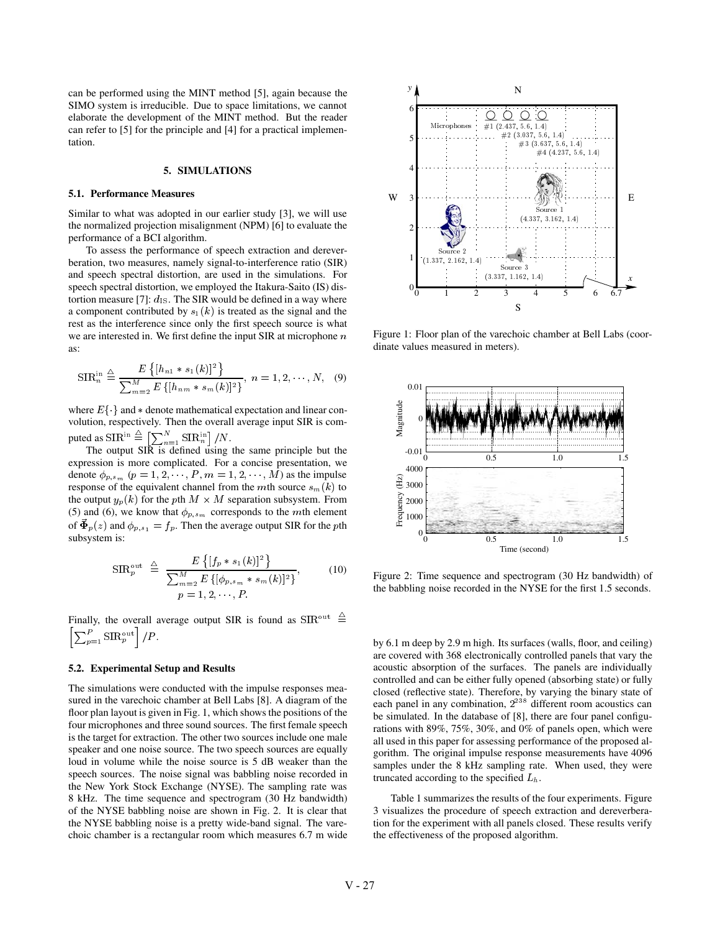can be performed using the MINT method [5], again because the SIMO system is irreducible. Due to space limitations, we cannot elaborate the development of the MINT method. But the reader can refer to [5] for the principle and [4] for a practical implementation.

## **5. SIMULATIONS**

#### **5.1. Performance Measures**

Similar to what was adopted in our earlier study [3], we will use the normalized projection misalignment (NPM) [6] to evaluate the performance of a BCI algorithm.

To assess the performance of speech extraction and dereverberation, two measures, namely signal-to-interference ratio (SIR) and speech spectral distortion, are used in the simulations. For speech spectral distortion, we employed the Itakura-Saito (IS) distortion measure [7]:  $d_{\text{IS}}$ . The SIR would be defined in a way where a component contributed by  $s_1(k)$  is treated as the signal and the rest as the interference since only the first speech source is what we are interested in. We first define the input SIR at microphone  $n$ as:

$$
SIR_{n}^{\text{in}} \stackrel{\triangle}{=} \frac{E\left\{ [h_{n1} * s_1(k)]^2 \right\}}{\sum_{m=2}^{M} E\left\{ [h_{n,m} * s_m(k)]^2 \right\}}, \ n = 1, 2, \cdots, N, \quad (9)
$$

where  $E\{\cdot\}$  and  $*$  denote mathematical expectation and linear convolution, respectively. Then the overall average input SIR is computed as  $\text{SIR}^{\text{in}} \stackrel{\triangle}{=} \left[ \sum_{n=1}^{N} \text{SIR}_{n}^{\text{in}} \right] / N.$ 

The output SIR is defined using the same principle but the expression is more complicated. For a concise presentation, we denote  $\phi_{p,s_m}$   $(p = 1, 2, \dots, P, m = 1, 2, \dots, M)$  as the impulse response of the equivalent channel from the mth source  $s_m(k)$  to the output  $y_p(k)$  for the pth  $M \times M$  separation subsystem. From (5) and (6), we know that  $\phi_{p,s_m}$  corresponds to the *mth* element of  $\Phi_p(z)$  and  $\phi_{p,s_1} = f_p$ . Then the average output SIR for the pth subsystem is:

$$
\text{SIR}_{p}^{\text{out}} \triangleq \frac{E\left\{[f_{p} * s_{1}(k)]^{2}\right\}}{\sum_{m=2}^{M} E\left\{[\phi_{p,s_{m}} * s_{m}(k)]^{2}\right\}},\qquad(10)
$$

$$
p = 1, 2, \cdots, P.
$$

Finally, the overall average output SIR is found as  $\text{SIR}^{\text{out}} \cong$  $\sum_{p=1}^{P} \text{SIR}_{p}^{\text{out}}$  /P.

#### **5.2. Experimental Setup and Results**

The simulations were conducted with the impulse responses measured in the varechoic chamber at Bell Labs [8]. A diagram of the floor plan layout is given in Fig. 1, which shows the positions of the four microphones and three sound sources. The first female speech is the target for extraction. The other two sources include one male speaker and one noise source. The two speech sources are equally loud in volume while the noise source is 5 dB weaker than the speech sources. The noise signal was babbling noise recorded in the New York Stock Exchange (NYSE). The sampling rate was 8 kHz. The time sequence and spectrogram (30 Hz bandwidth) of the NYSE babbling noise are shown in Fig. 2. It is clear that the NYSE babbling noise is a pretty wide-band signal. The varechoic chamber is a rectangular room which measures 6.7 m wide



Figure 1: Floor plan of the varechoic chamber at Bell Labs (coordinate values measured in meters).



Figure 2: Time sequence and spectrogram (30 Hz bandwidth) of the babbling noise recorded in the NYSE for the first 1.5 seconds.

by 6.1 m deep by 2.9 m high. Its surfaces (walls, floor, and ceiling) are covered with 368 electronically controlled panels that vary the acoustic absorption of the surfaces. The panels are individually controlled and can be either fully opened (absorbing state) or fully closed (reflective state). Therefore, by varying the binary state of each panel in any combination,  $2^{238}$  different room acoustics can be simulated. In the database of [8], there are four panel configurations with 89%, 75%, 30%, and 0% of panels open, which were all used in this paper for assessing performance of the proposed algorithm. The original impulse response measurements have 4096 samples under the 8 kHz sampling rate. When used, they were truncated according to the specified  $L<sub>h</sub>$ .

Table 1 summarizes the results of the four experiments. Figure 3 visualizes the procedure of speech extraction and dereverberation for the experiment with all panels closed. These results verify the effectiveness of the proposed algorithm.